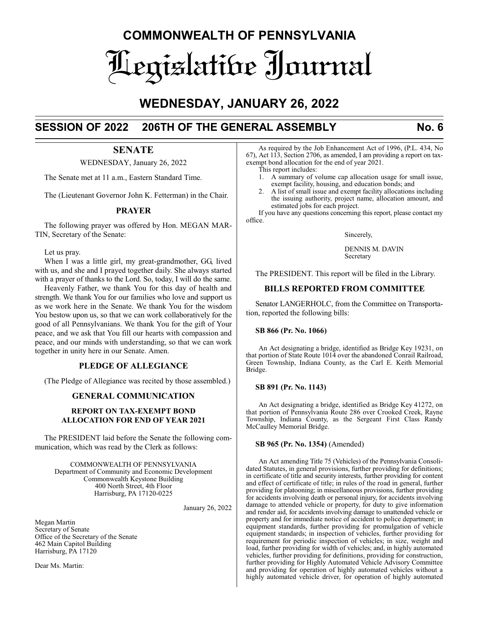# **COMMONWEALTH OF PENNSYLVANIA** Legislative Journal

# **WEDNESDAY, JANUARY 26, 2022**

# **SESSION OF 2022 206TH OF THE GENERAL ASSEMBLY No. 6**

# **SENATE**

WEDNESDAY, January 26, 2022

The Senate met at 11 a.m., Eastern Standard Time.

The (Lieutenant Governor John K. Fetterman) in the Chair.

# **PRAYER**

The following prayer was offered by Hon. MEGAN MAR-TIN, Secretary of the Senate:

Let us pray.

When I was a little girl, my great-grandmother, GG, lived with us, and she and I prayed together daily. She always started with a prayer of thanks to the Lord. So, today, I will do the same.

Heavenly Father, we thank You for this day of health and strength. We thank You for our families who love and support us as we work here in the Senate. We thank You for the wisdom You bestow upon us, so that we can work collaboratively for the good of all Pennsylvanians. We thank You for the gift of Your peace, and we ask that You fill our hearts with compassion and peace, and our minds with understanding, so that we can work together in unity here in our Senate. Amen.

# **PLEDGE OF ALLEGIANCE**

(The Pledge of Allegiance was recited by those assembled.)

# **GENERAL COMMUNICATION**

# **REPORT ON TAX-EXEMPT BOND ALLOCATION FOR END OF YEAR 2021**

The PRESIDENT laid before the Senate the following communication, which was read by the Clerk as follows:

COMMONWEALTH OF PENNSYLVANIA Department of Community and Economic Development Commonwealth Keystone Building 400 North Street, 4th Floor Harrisburg, PA 17120-0225

January 26, 2022

Megan Martin Secretary of Senate Office of the Secretary of the Senate 462 Main Capitol Building Harrisburg, PA 17120

Dear Ms. Martin:

As required by the Job Enhancement Act of 1996, (P.L. 434, No 67), Act 113, Section 2706, as amended, I am providing a report on taxexempt bond allocation for the end of year 2021.

- This report includes:
- 1. A summary of volume cap allocation usage for small issue, exempt facility, housing, and education bonds; and
- 2. A list of small issue and exempt facility allocations including the issuing authority, project name, allocation amount, and estimated jobs for each project.

If you have any questions concerning this report, please contact my office.

Sincerely,

DENNIS M. DAVIN Secretary

The PRESIDENT. This report will be filed in the Library.

# **BILLS REPORTED FROM COMMITTEE**

Senator LANGERHOLC, from the Committee on Transportation, reported the following bills:

# **SB 866 (Pr. No. 1066)**

An Act designating a bridge, identified as Bridge Key 19231, on that portion of State Route 1014 over the abandoned Conrail Railroad, Green Township, Indiana County, as the Carl E. Keith Memorial Bridge.

# **SB 891 (Pr. No. 1143)**

An Act designating a bridge, identified as Bridge Key 41272, on that portion of Pennsylvania Route 286 over Crooked Creek, Rayne Township, Indiana County, as the Sergeant First Class Randy McCaulley Memorial Bridge.

# **SB 965 (Pr. No. 1354)** (Amended)

An Act amending Title 75 (Vehicles) of the Pennsylvania Consolidated Statutes, in general provisions, further providing for definitions; in certificate of title and security interests, further providing for content and effect of certificate of title; in rules of the road in general, further providing for platooning; in miscellaneous provisions, further providing for accidents involving death or personal injury, for accidents involving damage to attended vehicle or property, for duty to give information and render aid, for accidents involving damage to unattended vehicle or property and for immediate notice of accident to police department; in equipment standards, further providing for promulgation of vehicle equipment standards; in inspection of vehicles, further providing for requirement for periodic inspection of vehicles; in size, weight and load, further providing for width of vehicles; and, in highly automated vehicles, further providing for definitions, providing for construction, further providing for Highly Automated Vehicle Advisory Committee and providing for operation of highly automated vehicles without a highly automated vehicle driver, for operation of highly automated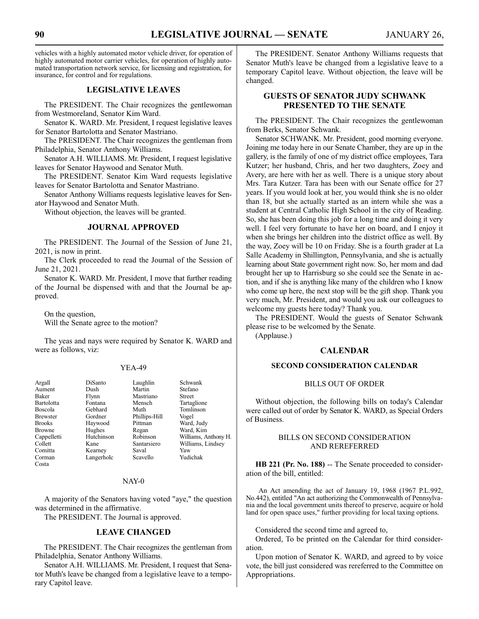vehicles with a highly automated motor vehicle driver, for operation of highly automated motor carrier vehicles, for operation of highly automated transportation network service, for licensing and registration, for insurance, for control and for regulations.

# **LEGISLATIVE LEAVES**

The PRESIDENT. The Chair recognizes the gentlewoman from Westmoreland, Senator Kim Ward.

Senator K. WARD. Mr. President, I request legislative leaves for Senator Bartolotta and Senator Mastriano.

The PRESIDENT. The Chair recognizes the gentleman from Philadelphia, Senator Anthony Williams.

Senator A.H. WILLIAMS. Mr. President, I request legislative leaves for Senator Haywood and Senator Muth.

The PRESIDENT. Senator Kim Ward requests legislative leaves for Senator Bartolotta and Senator Mastriano.

Senator Anthony Williams requests legislative leaves for Senator Haywood and Senator Muth.

Without objection, the leaves will be granted.

# **JOURNAL APPROVED**

The PRESIDENT. The Journal of the Session of June 21, 2021, is now in print.

The Clerk proceeded to read the Journal of the Session of June 21, 2021.

Senator K. WARD. Mr. President, I move that further reading of the Journal be dispensed with and that the Journal be approved.

On the question, Will the Senate agree to the motion?

The yeas and nays were required by Senator K. WARD and were as follows, viz:

# YEA-49

| Argall            | DiSanto    | Laughlin      | Schwank              |
|-------------------|------------|---------------|----------------------|
| Aument            | Dush       | Martin        | Stefano              |
| Baker             | Flynn      | Mastriano     | Street               |
| <b>Bartolotta</b> | Fontana    | Mensch        | Tartaglione          |
| Boscola           | Gebhard    | Muth          | Tomlinson            |
| <b>Brewster</b>   | Gordner    | Phillips-Hill | Vogel                |
| <b>Brooks</b>     | Haywood    | Pittman       | Ward, Judy           |
| <b>Browne</b>     | Hughes     | Regan         | Ward, Kim            |
| Cappelletti       | Hutchinson | Robinson      | Williams, Anthony H. |
| Collett           | Kane       | Santarsiero   | Williams, Lindsey    |
| Comitta           | Kearney    | Saval         | Yaw                  |
| Corman            | Langerholc | Scavello      | Yudichak             |

# NAY-0

A majority of the Senators having voted "aye," the question was determined in the affirmative.

The PRESIDENT. The Journal is approved.

Costa

# **LEAVE CHANGED**

The PRESIDENT. The Chair recognizes the gentleman from Philadelphia, Senator Anthony Williams.

Senator A.H. WILLIAMS. Mr. President, I request that Senator Muth's leave be changed from a legislative leave to a temporary Capitol leave.

The PRESIDENT. Senator Anthony Williams requests that Senator Muth's leave be changed from a legislative leave to a temporary Capitol leave. Without objection, the leave will be changed.

# **GUESTS OF SENATOR JUDY SCHWANK PRESENTED TO THE SENATE**

The PRESIDENT. The Chair recognizes the gentlewoman from Berks, Senator Schwank.

Senator SCHWANK. Mr. President, good morning everyone. Joining me today here in our Senate Chamber, they are up in the gallery, is the family of one of my district office employees, Tara Kutzer; her husband, Chris, and her two daughters, Zoey and Avery, are here with her as well. There is a unique story about Mrs. Tara Kutzer. Tara has been with our Senate office for 27 years. If you would look at her, you would think she is no older than 18, but she actually started as an intern while she was a student at Central Catholic High School in the city of Reading. So, she has been doing this job for a long time and doing it very well. I feel very fortunate to have her on board, and I enjoy it when she brings her children into the district office as well. By the way, Zoey will be 10 on Friday. She is a fourth grader at La Salle Academy in Shillington, Pennsylvania, and she is actually learning about State government right now. So, her mom and dad brought her up to Harrisburg so she could see the Senate in action, and if she is anything like many of the children who I know who come up here, the next stop will be the gift shop. Thank you very much, Mr. President, and would you ask our colleagues to welcome my guests here today? Thank you.

The PRESIDENT. Would the guests of Senator Schwank please rise to be welcomed by the Senate.

(Applause.)

# **CALENDAR**

# **SECOND CONSIDERATION CALENDAR**

# BILLS OUT OF ORDER

Without objection, the following bills on today's Calendar were called out of order by Senator K. WARD, as Special Orders of Business.

# BILLS ON SECOND CONSIDERATION AND REREFERRED

**HB 221 (Pr. No. 188)** -- The Senate proceeded to consideration of the bill, entitled:

An Act amending the act of January 19, 1968 (1967 P.L.992, No.442), entitled "An act authorizing the Commonwealth of Pennsylvania and the local government units thereof to preserve, acquire or hold land for open space uses," further providing for local taxing options.

Considered the second time and agreed to,

Ordered, To be printed on the Calendar for third consideration.

Upon motion of Senator K. WARD, and agreed to by voice vote, the bill just considered was rereferred to the Committee on Appropriations.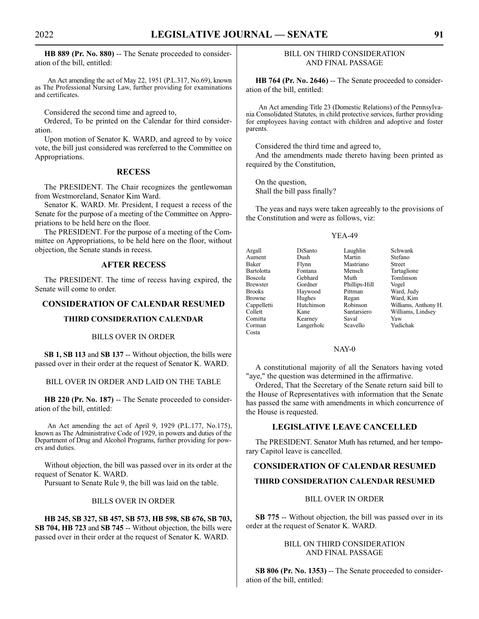**HB 889 (Pr. No. 880)** -- The Senate proceeded to consideration of the bill, entitled:

An Act amending the act of May 22, 1951 (P.L.317, No.69), known as The Professional Nursing Law, further providing for examinations and certificates.

Considered the second time and agreed to,

Ordered, To be printed on the Calendar for third consideration.

Upon motion of Senator K. WARD, and agreed to by voice vote, the bill just considered was rereferred to the Committee on Appropriations.

# **RECESS**

The PRESIDENT. The Chair recognizes the gentlewoman from Westmoreland, Senator Kim Ward.

Senator K. WARD. Mr. President, I request a recess of the Senate for the purpose of a meeting of the Committee on Appropriations to be held here on the floor.

The PRESIDENT. For the purpose of a meeting of the Committee on Appropriations, to be held here on the floor, without objection, the Senate stands in recess.

# **AFTER RECESS**

The PRESIDENT. The time of recess having expired, the Senate will come to order.

# **CONSIDERATION OF CALENDAR RESUMED**

# **THIRD CONSIDERATION CALENDAR**

### BILLS OVER IN ORDER

**SB 1, SB 113** and **SB 137** -- Without objection, the bills were passed over in their order at the request of Senator K. WARD.

BILL OVER IN ORDER AND LAID ON THE TABLE

**HB 220 (Pr. No. 187)** -- The Senate proceeded to consideration of the bill, entitled:

An Act amending the act of April 9, 1929 (P.L.177, No.175), known as The Administrative Code of 1929, in powers and duties of the Department of Drug and Alcohol Programs, further providing for powers and duties.

Without objection, the bill was passed over in its order at the request of Senator K. WARD.

Pursuant to Senate Rule 9, the bill was laid on the table.

#### BILLS OVER IN ORDER

**HB 245, SB 327, SB 457, SB 573, HB 598, SB 676, SB 703, SB 704, HB 723** and **SB 745** -- Without objection, the bills were passed over in their order at the request of Senator K. WARD.

# BILL ON THIRD CONSIDERATION AND FINAL PASSAGE

**HB 764 (Pr. No. 2646)** -- The Senate proceeded to consideration of the bill, entitled:

An Act amending Title 23 (Domestic Relations) of the Pennsylvania Consolidated Statutes, in child protective services, further providing for employees having contact with children and adoptive and foster parents.

Considered the third time and agreed to,

And the amendments made thereto having been printed as required by the Constitution,

On the question, Shall the bill pass finally?

The yeas and nays were taken agreeably to the provisions of the Constitution and were as follows, viz:

# YEA-49

| Argall            | DiSanto    | Laughlin      | Schwank              |
|-------------------|------------|---------------|----------------------|
| Aument            | Dush       | Martin        | Stefano              |
| Baker             | Flynn      | Mastriano     | <b>Street</b>        |
| <b>Bartolotta</b> | Fontana    | Mensch        | Tartaglione          |
| <b>Boscola</b>    | Gebhard    | Muth          | Tomlinson            |
| <b>Brewster</b>   | Gordner    | Phillips-Hill | Vogel                |
| <b>Brooks</b>     | Haywood    | Pittman       | Ward, Judy           |
| <b>Browne</b>     | Hughes     | Regan         | Ward, Kim            |
| Cappelletti       | Hutchinson | Robinson      | Williams, Anthony H. |
| Collett           | Kane       | Santarsiero   | Williams, Lindsey    |
| Comitta           | Kearney    | Saval         | Yaw                  |
| Corman            | Langerholc | Scavello      | Yudichak             |
| Costa             |            |               |                      |

# NAY-0

A constitutional majority of all the Senators having voted "aye," the question was determined in the affirmative.

Ordered, That the Secretary of the Senate return said bill to the House of Representatives with information that the Senate has passed the same with amendments in which concurrence of the House is requested.

# **LEGISLATIVE LEAVE CANCELLED**

The PRESIDENT. Senator Muth has returned, and her temporary Capitol leave is cancelled.

# **CONSIDERATION OF CALENDAR RESUMED**

# **THIRD CONSIDERATION CALENDAR RESUMED**

# BILL OVER IN ORDER

**SB** 775 -- Without objection, the bill was passed over in its order at the request of Senator K. WARD.

# BILL ON THIRD CONSIDERATION AND FINAL PASSAGE

**SB 806 (Pr. No. 1353)** -- The Senate proceeded to consideration of the bill, entitled: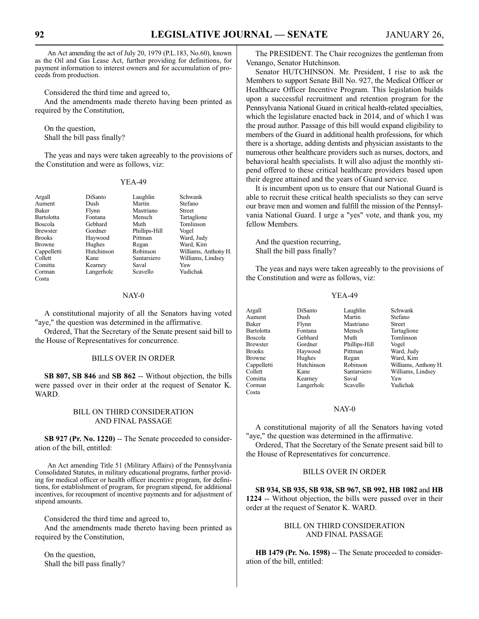An Act amending the act of July 20, 1979 (P.L.183, No.60), known as the Oil and Gas Lease Act, further providing for definitions, for payment information to interest owners and for accumulation of proceeds from production.

Considered the third time and agreed to,

And the amendments made thereto having been printed as required by the Constitution,

On the question, Shall the bill pass finally?

The yeas and nays were taken agreeably to the provisions of the Constitution and were as follows, viz:

#### YEA-49

| Argall            | DiSanto    | Laughlin      | Schwank              |
|-------------------|------------|---------------|----------------------|
| Aument            | Dush       | Martin        | Stefano              |
| Baker             | Flynn      | Mastriano     | <b>Street</b>        |
| <b>Bartolotta</b> | Fontana    | Mensch        | Tartaglione          |
| Boscola           | Gebhard    | Muth          | Tomlinson            |
| <b>Brewster</b>   | Gordner    | Phillips-Hill | Vogel                |
| <b>Brooks</b>     | Haywood    | Pittman       | Ward, Judy           |
| <b>Browne</b>     | Hughes     | Regan         | Ward, Kim            |
| Cappelletti       | Hutchinson | Robinson      | Williams, Anthony H. |
| Collett           | Kane       | Santarsiero   | Williams, Lindsey    |
| Comitta           | Kearney    | Saval         | Yaw                  |
| Corman            | Langerholc | Scavello      | Yudichak             |
| Costa             |            |               |                      |

# NAY-0

A constitutional majority of all the Senators having voted "aye," the question was determined in the affirmative.

Ordered, That the Secretary of the Senate present said bill to the House of Representatives for concurrence.

## BILLS OVER IN ORDER

**SB 807, SB 846** and **SB 862** -- Without objection, the bills were passed over in their order at the request of Senator K. WARD.

# BILL ON THIRD CONSIDERATION AND FINAL PASSAGE

**SB 927 (Pr. No. 1220)** -- The Senate proceeded to consideration of the bill, entitled:

An Act amending Title 51 (Military Affairs) of the Pennsylvania Consolidated Statutes, in military educational programs, further providing for medical officer or health officer incentive program, for definitions, for establishment of program, for program stipend, for additional incentives, for recoupment of incentive payments and for adjustment of stipend amounts.

Considered the third time and agreed to,

And the amendments made thereto having been printed as required by the Constitution,

On the question, Shall the bill pass finally?

The PRESIDENT. The Chair recognizes the gentleman from Venango, Senator Hutchinson.

Senator HUTCHINSON. Mr. President, I rise to ask the Members to support Senate Bill No. 927, the Medical Officer or Healthcare Officer Incentive Program. This legislation builds upon a successful recruitment and retention program for the Pennsylvania National Guard in critical health-related specialties, which the legislature enacted back in 2014, and of which I was the proud author. Passage of this bill would expand eligibility to members of the Guard in additional health professions, for which there is a shortage, adding dentists and physician assistants to the numerous other healthcare providers such as nurses, doctors, and behavioral health specialists. It will also adjust the monthly stipend offered to these critical healthcare providers based upon their degree attained and the years of Guard service.

It is incumbent upon us to ensure that our National Guard is able to recruit these critical health specialists so they can serve our brave men and women and fulfill the mission of the Pennsylvania National Guard. I urge a "yes" vote, and thank you, my fellow Members.

And the question recurring, Shall the bill pass finally?

The yeas and nays were taken agreeably to the provisions of the Constitution and were as follows, viz:

# YEA-49

| Argall            | DiSanto    | Laughlin      | Schwank              |
|-------------------|------------|---------------|----------------------|
| Aument            | Dush       | Martin        | Stefano              |
| Baker             | Flynn      | Mastriano     | <b>Street</b>        |
| <b>Bartolotta</b> | Fontana    | Mensch        | Tartaglione          |
| Boscola           | Gebhard    | Muth          | Tomlinson            |
| <b>Brewster</b>   | Gordner    | Phillips-Hill | Vogel                |
| <b>Brooks</b>     | Haywood    | Pittman       | Ward, Judy           |
| <b>Browne</b>     | Hughes     | Regan         | Ward, Kim            |
| Cappelletti       | Hutchinson | Robinson      | Williams, Anthony H. |
| Collett           | Kane       | Santarsiero   | Williams, Lindsey    |
| Comitta           | Kearney    | Saval         | Yaw                  |
| Corman            | Langerholc | Scavello      | Yudichak             |
| Costa             |            |               |                      |

# NAY-0

A constitutional majority of all the Senators having voted "aye," the question was determined in the affirmative.

Ordered, That the Secretary of the Senate present said bill to the House of Representatives for concurrence.

# BILLS OVER IN ORDER

**SB 934, SB 935, SB 938, SB 967, SB 992, HB 1082** and **HB 1224** -- Without objection, the bills were passed over in their order at the request of Senator K. WARD.

# BILL ON THIRD CONSIDERATION AND FINAL PASSAGE

**HB 1479 (Pr. No. 1598)** -- The Senate proceeded to consideration of the bill, entitled: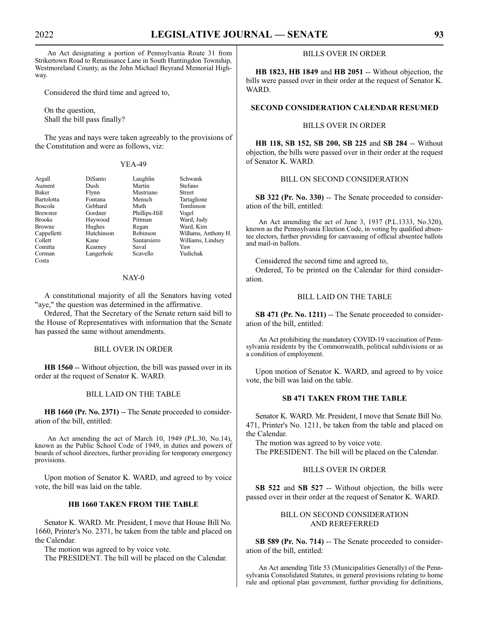An Act designating a portion of Pennsylvania Route 31 from Strikertown Road to Renaissance Lane in South Huntingdon Township, Westmoreland County, as the John Michael Beyrand Memorial Highway.

Considered the third time and agreed to,

On the question, Shall the bill pass finally?

The yeas and nays were taken agreeably to the provisions of the Constitution and were as follows, viz:

# YEA-49

| Schwank              |
|----------------------|
|                      |
|                      |
|                      |
| Tartaglione          |
| Tomlinson            |
|                      |
| Ward, Judy           |
| Ward, Kim            |
| Williams, Anthony H. |
| Williams, Lindsey    |
|                      |
| Yudichak             |
|                      |

# NAY-0

A constitutional majority of all the Senators having voted "aye," the question was determined in the affirmative.

Ordered, That the Secretary of the Senate return said bill to the House of Representatives with information that the Senate has passed the same without amendments.

BILL OVER IN ORDER

**HB 1560** -- Without objection, the bill was passed over in its order at the request of Senator K. WARD.

# BILL LAID ON THE TABLE

**HB 1660 (Pr. No. 2371)** -- The Senate proceeded to consideration of the bill, entitled:

An Act amending the act of March 10, 1949 (P.L.30, No.14), known as the Public School Code of 1949, in duties and powers of boards of school directors, further providing for temporary emergency provisions.

Upon motion of Senator K. WARD, and agreed to by voice vote, the bill was laid on the table.

# **HB 1660 TAKEN FROM THE TABLE**

Senator K. WARD. Mr. President, I move that House Bill No. 1660, Printer's No. 2371, be taken from the table and placed on the Calendar.

The motion was agreed to by voice vote.

The PRESIDENT. The bill will be placed on the Calendar.

### BILLS OVER IN ORDER

**HB 1823, HB 1849** and **HB 2051** -- Without objection, the bills were passed over in their order at the request of Senator K. WARD.

# **SECOND CONSIDERATION CALENDAR RESUMED**

# BILLS OVER IN ORDER

**HB 118, SB 152, SB 200, SB 225** and **SB 284** -- Without objection, the bills were passed over in their order at the request of Senator K. WARD.

# BILL ON SECOND CONSIDERATION

**SB 322 (Pr. No. 330)** -- The Senate proceeded to consideration of the bill, entitled:

An Act amending the act of June 3, 1937 (P.L.1333, No.320), known as the Pennsylvania Election Code, in voting by qualified absentee electors, further providing for canvassing of official absentee ballots and mail-in ballots.

Considered the second time and agreed to,

Ordered, To be printed on the Calendar for third consideration.

# BILL LAID ON THE TABLE

**SB 471 (Pr. No. 1211)** -- The Senate proceeded to consideration of the bill, entitled:

An Act prohibiting the mandatory COVID-19 vaccination of Pennsylvania residents by the Commonwealth, political subdivisions or as a condition of employment.

Upon motion of Senator K. WARD, and agreed to by voice vote, the bill was laid on the table.

# **SB 471 TAKEN FROM THE TABLE**

Senator K. WARD. Mr. President, I move that Senate Bill No. 471, Printer's No. 1211, be taken from the table and placed on the Calendar.

The motion was agreed to by voice vote. The PRESIDENT. The bill will be placed on the Calendar.

# BILLS OVER IN ORDER

**SB 522** and **SB 527** -- Without objection, the bills were passed over in their order at the request of Senator K. WARD.

# BILL ON SECOND CONSIDERATION AND REREFERRED

**SB 589 (Pr. No. 714)** -- The Senate proceeded to consideration of the bill, entitled:

An Act amending Title 53 (Municipalities Generally) of the Pennsylvania Consolidated Statutes, in general provisions relating to home rule and optional plan government, further providing for definitions,

Costa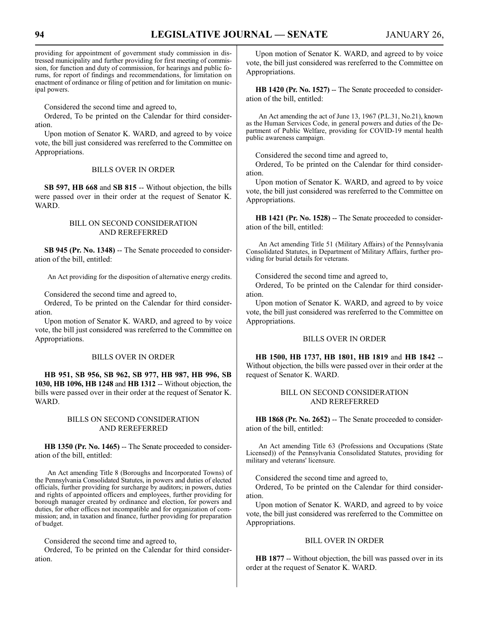providing for appointment of government study commission in distressed municipality and further providing for first meeting of commission, for function and duty of commission, for hearings and public forums, for report of findings and recommendations, for limitation on enactment of ordinance or filing of petition and for limitation on municipal powers.

Considered the second time and agreed to,

Ordered, To be printed on the Calendar for third consideration.

Upon motion of Senator K. WARD, and agreed to by voice vote, the bill just considered was rereferred to the Committee on Appropriations.

# BILLS OVER IN ORDER

**SB 597, HB 668** and **SB 815** -- Without objection, the bills were passed over in their order at the request of Senator K. WARD.

# BILL ON SECOND CONSIDERATION AND REREFERRED

**SB 945 (Pr. No. 1348)** -- The Senate proceeded to consideration of the bill, entitled:

An Act providing for the disposition of alternative energy credits.

Considered the second time and agreed to,

Ordered, To be printed on the Calendar for third consideration.

Upon motion of Senator K. WARD, and agreed to by voice vote, the bill just considered was rereferred to the Committee on Appropriations.

# BILLS OVER IN ORDER

**HB 951, SB 956, SB 962, SB 977, HB 987, HB 996, SB 1030, HB 1096, HB 1248** and **HB 1312** -- Without objection, the bills were passed over in their order at the request of Senator K. WARD.

# BILLS ON SECOND CONSIDERATION AND REREFERRED

**HB 1350 (Pr. No. 1465)** -- The Senate proceeded to consideration of the bill, entitled:

An Act amending Title 8 (Boroughs and Incorporated Towns) of the Pennsylvania Consolidated Statutes, in powers and duties of elected officials, further providing for surcharge by auditors; in powers, duties and rights of appointed officers and employees, further providing for borough manager created by ordinance and election, for powers and duties, for other offices not incompatible and for organization of commission; and, in taxation and finance, further providing for preparation of budget.

Considered the second time and agreed to,

Ordered, To be printed on the Calendar for third consideration.

Upon motion of Senator K. WARD, and agreed to by voice vote, the bill just considered was rereferred to the Committee on Appropriations.

**HB 1420 (Pr. No. 1527)** -- The Senate proceeded to consideration of the bill, entitled:

An Act amending the act of June 13, 1967 (P.L.31, No.21), known as the Human Services Code, in general powers and duties of the Department of Public Welfare, providing for COVID-19 mental health public awareness campaign.

Considered the second time and agreed to,

Ordered, To be printed on the Calendar for third consideration.

Upon motion of Senator K. WARD, and agreed to by voice vote, the bill just considered was rereferred to the Committee on Appropriations.

**HB 1421 (Pr. No. 1528)** -- The Senate proceeded to consideration of the bill, entitled:

An Act amending Title 51 (Military Affairs) of the Pennsylvania Consolidated Statutes, in Department of Military Affairs, further providing for burial details for veterans.

Considered the second time and agreed to,

Ordered, To be printed on the Calendar for third consideration.

Upon motion of Senator K. WARD, and agreed to by voice vote, the bill just considered was rereferred to the Committee on Appropriations.

# BILLS OVER IN ORDER

**HB 1500, HB 1737, HB 1801, HB 1819** and **HB 1842** -- Without objection, the bills were passed over in their order at the request of Senator K. WARD.

# BILL ON SECOND CONSIDERATION AND REREFERRED

HB 1868 (Pr. No. 2652) -- The Senate proceeded to consideration of the bill, entitled:

An Act amending Title 63 (Professions and Occupations (State Licensed)) of the Pennsylvania Consolidated Statutes, providing for military and veterans' licensure.

Considered the second time and agreed to,

Ordered, To be printed on the Calendar for third consideration.

Upon motion of Senator K. WARD, and agreed to by voice vote, the bill just considered was rereferred to the Committee on Appropriations.

# BILL OVER IN ORDER

**HB 1877** -- Without objection, the bill was passed over in its order at the request of Senator K. WARD.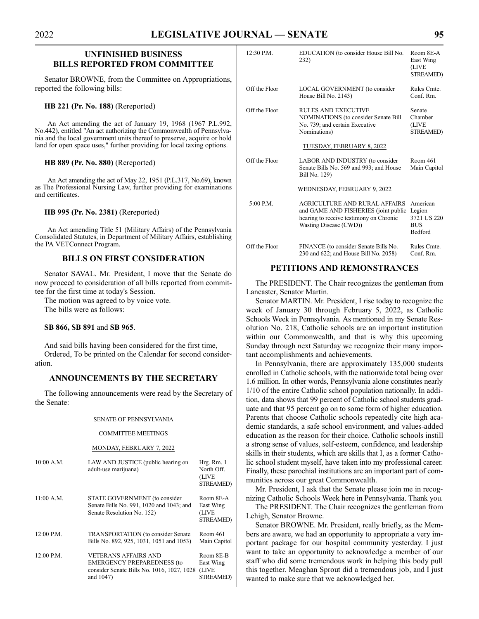# 2022 **LEGISLATIVE JOURNAL — SENATE 95**

# **UNFINISHED BUSINESS BILLS REPORTED FROM COMMITTEE**

Senator BROWNE, from the Committee on Appropriations, reported the following bills:

### **HB 221 (Pr. No. 188)** (Rereported)

An Act amending the act of January 19, 1968 (1967 P.L.992, No.442), entitled "An act authorizing the Commonwealth of Pennsylvania and the local government units thereof to preserve, acquire or hold land for open space uses," further providing for local taxing options.

### **HB 889 (Pr. No. 880)** (Rereported)

An Act amending the act of May 22, 1951 (P.L.317, No.69), known as The Professional Nursing Law, further providing for examinations and certificates.

#### **HB 995 (Pr. No. 2381)** (Rereported)

An Act amending Title 51 (Military Affairs) of the Pennsylvania Consolidated Statutes, in Department of Military Affairs, establishing the PA VETConnect Program.

# **BILLS ON FIRST CONSIDERATION**

Senator SAVAL. Mr. President, I move that the Senate do now proceed to consideration of all bills reported from committee for the first time at today's Session.

The motion was agreed to by voice vote. The bills were as follows:

# **SB 866, SB 891** and **SB 965**.

And said bills having been considered for the first time, Ordered, To be printed on the Calendar for second consideration.

# **ANNOUNCEMENTS BY THE SECRETARY**

The following announcements were read by the Secretary of the Senate:

#### SENATE OF PENNSYLVANIA

#### COMMITTEE MEETINGS

#### MONDAY, FEBRUARY 7, 2022

| 10:00 A.M.   | LAW AND JUSTICE (public hearing on<br>adult-use marijuana)                                                           | Hrg. Rm. 1<br>North Off.<br>(LIVE<br>STREAMED) |
|--------------|----------------------------------------------------------------------------------------------------------------------|------------------------------------------------|
| 11:00 A.M.   | STATE GOVERNMENT (to consider<br>Senate Bills No. 991, 1020 and 1043; and<br>Senate Resolution No. 152)              | Room 8E-A<br>East Wing<br>(LIVE<br>STREAMED)   |
| 12:00 P.M.   | <b>TRANSPORTATION</b> (to consider Senate)<br>Bills No. 892, 925, 1031, 1051 and 1053)                               | Room 461<br>Main Capitol                       |
| $12:00$ P.M. | VETERANS AFFAIRS AND<br><b>EMERGENCY PREPAREDNESS (to</b><br>consider Senate Bills No. 1016, 1027, 1028<br>and 1047) | Room 8E-B<br>East Wing<br>(LIVE<br>STREAMED)   |

| $12:30$ P.M.  | EDUCATION (to consider House Bill No.<br>232)                                                                                              | Room 8E-A<br>East Wing<br>(LIVE<br><b>STREAMED)</b>               |
|---------------|--------------------------------------------------------------------------------------------------------------------------------------------|-------------------------------------------------------------------|
| Off the Floor | LOCAL GOVERNMENT (to consider<br>House Bill No. 2143)                                                                                      | Rules Cmte.<br>Conf. Rm.                                          |
| Off the Floor | RULES AND EXECUTIVE<br><b>NOMINATIONS</b> (to consider Senate Bill<br>No. 739; and certain Executive<br>Nominations)                       | Senate<br>Chamber<br>(LIVE<br><b>STREAMED)</b>                    |
|               | TUESDAY, FEBRUARY 8, 2022                                                                                                                  |                                                                   |
| Off the Floor | LABOR AND INDUSTRY (to consider<br>Senate Bills No. 569 and 993; and House<br>Bill No. 129)                                                | Room 461<br>Main Capitol                                          |
|               | WEDNESDAY, FEBRUARY 9, 2022                                                                                                                |                                                                   |
| $5:00$ P.M.   | AGRICULTURE AND RURAL AFFAIRS<br>and GAME AND FISHERIES (joint public<br>hearing to receive testimony on Chronic<br>Wasting Disease (CWD)) | American<br>Legion<br>3721 US 220<br><b>BUS</b><br><b>Bedford</b> |
| Off the Floor | FINANCE (to consider Senate Bills No.<br>230 and 622; and House Bill No. 2058)                                                             | Rules Cmte.<br>Conf. Rm.                                          |

# **PETITIONS AND REMONSTRANCES**

The PRESIDENT. The Chair recognizes the gentleman from Lancaster, Senator Martin.

Senator MARTIN. Mr. President, I rise today to recognize the week of January 30 through February 5, 2022, as Catholic Schools Week in Pennsylvania. As mentioned in my Senate Resolution No. 218, Catholic schools are an important institution within our Commonwealth, and that is why this upcoming Sunday through next Saturday we recognize their many important accomplishments and achievements.

In Pennsylvania, there are approximately 135,000 students enrolled in Catholic schools, with the nationwide total being over 1.6 million. In other words, Pennsylvania alone constitutes nearly 1/10 of the entire Catholic school population nationally. In addition, data shows that 99 percent of Catholic school students graduate and that 95 percent go on to some form of higher education. Parents that choose Catholic schools repeatedly cite high academic standards, a safe school environment, and values-added education as the reason for their choice. Catholic schools instill a strong sense of values, self-esteem, confidence, and leadership skills in their students, which are skills that I, as a former Catholic school student myself, have taken into my professional career. Finally, these parochial institutions are an important part of communities across our great Commonwealth.

Mr. President, I ask that the Senate please join me in recognizing Catholic Schools Week here in Pennsylvania. Thank you.

The PRESIDENT. The Chair recognizes the gentleman from Lehigh, Senator Browne.

Senator BROWNE. Mr. President, really briefly, as the Members are aware, we had an opportunity to appropriate a very important package for our hospital community yesterday. I just want to take an opportunity to acknowledge a member of our staff who did some tremendous work in helping this body pull this together. Meaghan Sprout did a tremendous job, and I just wanted to make sure that we acknowledged her.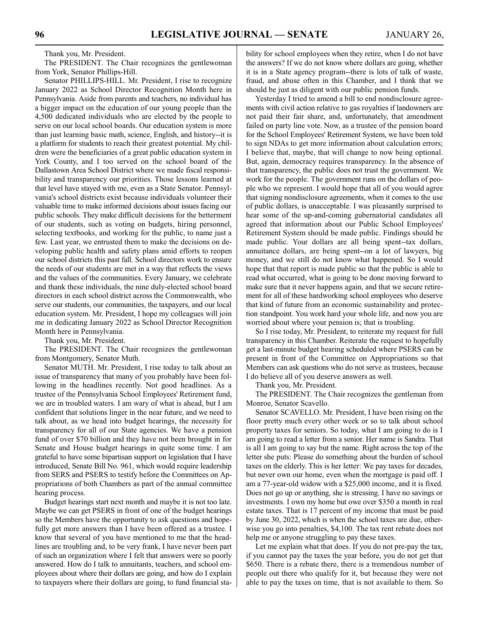Thank you, Mr. President.

The PRESIDENT. The Chair recognizes the gentlewoman from York, Senator Phillips-Hill.

Senator PHILLIPS-HILL. Mr. President, I rise to recognize January 2022 as School Director Recognition Month here in Pennsylvania. Aside from parents and teachers, no individual has a bigger impact on the education of our young people than the 4,500 dedicated individuals who are elected by the people to serve on our local school boards. Our education system is more than just learning basic math, science, English, and history--it is a platform for students to reach their greatest potential. My children were the beneficiaries of a great public education system in York County, and I too served on the school board of the Dallastown Area School District where we made fiscal responsibility and transparency our priorities. Those lessons learned at that level have stayed with me, even as a State Senator. Pennsylvania's school districts exist because individuals volunteer their valuable time to make informed decisions about issues facing our public schools. They make difficult decisions for the betterment of our students, such as voting on budgets, hiring personnel, selecting textbooks, and working for the public, to name just a few. Last year, we entrusted them to make the decisions on developing public health and safety plans amid efforts to reopen our school districts this past fall. School directors work to ensure the needs of our students are met in a way that reflects the views and the values of the communities. Every January, we celebrate and thank these individuals, the nine duly-elected school board directors in each school district across the Commonwealth, who serve our students, our communities, the taxpayers, and our local education system. Mr. President, I hope my colleagues will join me in dedicating January 2022 as School Director Recognition Month here in Pennsylvania.

Thank you, Mr. President.

The PRESIDENT. The Chair recognizes the gentlewoman from Montgomery, Senator Muth.

Senator MUTH. Mr. President, I rise today to talk about an issue of transparency that many of you probably have been following in the headlines recently. Not good headlines. As a trustee of the Pennsylvania School Employees' Retirement fund, we are in troubled waters. I am wary of what is ahead, but I am confident that solutions linger in the near future, and we need to talk about, as we head into budget hearings, the necessity for transparency for all of our State agencies. We have a pension fund of over \$70 billion and they have not been brought in for Senate and House budget hearings in quite some time. I am grateful to have some bipartisan support on legislation that I have introduced, Senate Bill No. 961, which would require leadership from SERS and PSERS to testify before the Committees on Appropriations of both Chambers as part of the annual committee hearing process.

Budget hearings start next month and maybe it is not too late. Maybe we can get PSERS in front of one of the budget hearings so the Members have the opportunity to ask questions and hopefully get more answers than I have been offered as a trustee. I know that several of you have mentioned to me that the headlines are troubling and, to be very frank, I have never been part of such an organization where I felt that answers were so poorly answered. How do I talk to annuitants, teachers, and school employees about where their dollars are going, and how do I explain to taxpayers where their dollars are going, to fund financial stability for school employees when they retire, when I do not have the answers? If we do not know where dollars are going, whether it is in a State agency program--there is lots of talk of waste, fraud, and abuse often in this Chamber, and I think that we should be just as diligent with our public pension funds.

Yesterday I tried to amend a bill to end nondisclosure agreements with civil action relative to gas royalties if landowners are not paid their fair share, and, unfortunately, that amendment failed on party line vote. Now, as a trustee of the pension board for the School Employees' Retirement System, we have been told to sign NDAs to get more information about calculation errors; I believe that, maybe, that will change to now being optional. But, again, democracy requires transparency. In the absence of that transparency, the public does not trust the government. We work for the people. The government runs on the dollars of people who we represent. I would hope that all of you would agree that signing nondisclosure agreements, when it comes to the use of public dollars, is unacceptable. I was pleasantly surprised to hear some of the up-and-coming gubernatorial candidates all agreed that information about our Public School Employees' Retirement System should be made public. Findings should be made public. Your dollars are all being spent--tax dollars, annuitance dollars, are being spent--on a lot of lawyers, big money, and we still do not know what happened. So I would hope that that report is made public so that the public is able to read what occurred, what is going to be done moving forward to make sure that it never happens again, and that we secure retirement for all of these hardworking school employees who deserve that kind of future from an economic sustainability and protection standpoint. You work hard your whole life, and now you are worried about where your pension is; that is troubling.

So I rise today, Mr. President, to reiterate my request for full transparency in this Chamber. Reiterate the request to hopefully get a last-minute budget hearing scheduled where PSERS can be present in front of the Committee on Appropriations so that Members can ask questions who do not serve as trustees, because I do believe all of you deserve answers as well.

Thank you, Mr. President.

The PRESIDENT. The Chair recognizes the gentleman from Monroe, Senator Scavello.

Senator SCAVELLO. Mr. President, I have been rising on the floor pretty much every other week or so to talk about school property taxes for seniors. So today, what I am going to do is I am going to read a letter from a senior. Her name is Sandra. That is all I am going to say but the name. Right across the top of the letter she puts: Please do something about the burden of school taxes on the elderly. This is her letter: We pay taxes for decades, but never own our home, even when the mortgage is paid off. I am a 77-year-old widow with a \$25,000 income, and it is fixed. Does not go up or anything, she is stressing. I have no savings or investments. I own my home but owe over \$350 a month in real estate taxes. That is 17 percent of my income that must be paid by June 30, 2022, which is when the school taxes are due, otherwise you go into penalties, \$4,100. The tax rent rebate does not help me or anyone struggling to pay these taxes.

Let me explain what that does. If you do not pre-pay the tax, if you cannot pay the taxes the year before, you do not get that \$650. There is a rebate there, there is a tremendous number of people out there who qualify for it, but because they were not able to pay the taxes on time, that is not available to them. So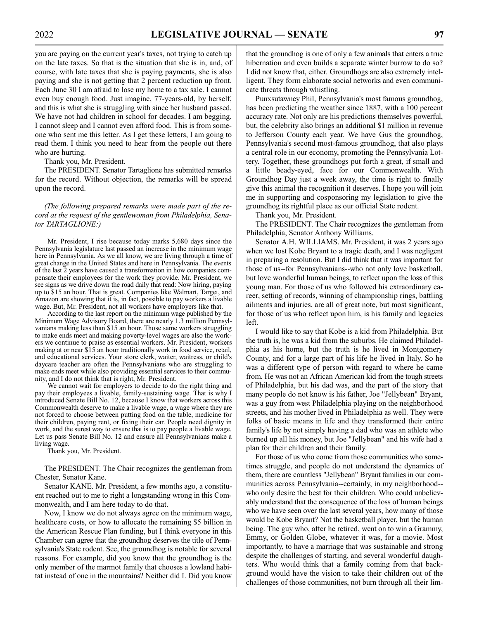you are paying on the current year's taxes, not trying to catch up on the late taxes. So that is the situation that she is in, and, of course, with late taxes that she is paying payments, she is also paying and she is not getting that 2 percent reduction up front. Each June 30 I am afraid to lose my home to a tax sale. I cannot even buy enough food. Just imagine, 77-years-old, by herself, and this is what she is struggling with since her husband passed. We have not had children in school for decades. I am begging, I cannot sleep and I cannot even afford food. This is from someone who sent me this letter. As I get these letters, I am going to read them. I think you need to hear from the people out there who are hurting.

Thank you, Mr. President.

The PRESIDENT. Senator Tartaglione has submitted remarks for the record. Without objection, the remarks will be spread upon the record.

*(The following prepared remarks were made part of the record at the request of the gentlewoman from Philadelphia, Senator TARTAGLIONE:)*

Mr. President, I rise because today marks 5,680 days since the Pennsylvania legislature last passed an increase in the minimum wage here in Pennsylvania. As we all know, we are living through a time of great change in the United States and here in Pennsylvania. The events of the last 2 years have caused a transformation in how companies compensate their employees for the work they provide. Mr. President, we see signs as we drive down the road daily that read: Now hiring, paying up to \$15 an hour. That is great. Companies like Walmart, Target, and Amazon are showing that it is, in fact, possible to pay workers a livable wage. But, Mr. President, not all workers have employers like that.

According to the last report on the minimum wage published by the Minimum Wage Advisory Board, there are nearly 1.3 million Pennsylvanians making less than \$15 an hour. Those same workers struggling to make ends meet and making poverty-level wages are also the workers we continue to praise as essential workers. Mr. President, workers making at or near \$15 an hour traditionally work in food service, retail, and educational services. Your store clerk, waiter, waitress, or child's daycare teacher are often the Pennsylvanians who are struggling to make ends meet while also providing essential services to their community, and I do not think that is right, Mr. President.

We cannot wait for employers to decide to do the right thing and pay their employees a livable, family-sustaining wage. That is why I introduced Senate Bill No. 12, because I know that workers across this Commonwealth deserve to make a livable wage, a wage where they are not forced to choose between putting food on the table, medicine for their children, paying rent, or fixing their car. People need dignity in work, and the surest way to ensure that is to pay people a livable wage. Let us pass Senate Bill No. 12 and ensure all Pennsylvanians make a living wage.

Thank you, Mr. President.

The PRESIDENT. The Chair recognizes the gentleman from Chester, Senator Kane.

Senator KANE. Mr. President, a few months ago, a constituent reached out to me to right a longstanding wrong in this Commonwealth, and I am here today to do that.

Now, I know we do not always agree on the minimum wage, healthcare costs, or how to allocate the remaining \$5 billion in the American Rescue Plan funding, but I think everyone in this Chamber can agree that the groundhog deserves the title of Pennsylvania's State rodent. See, the groundhog is notable for several reasons. For example, did you know that the groundhog is the only member of the marmot family that chooses a lowland habitat instead of one in the mountains? Neither did I. Did you know that the groundhog is one of only a few animals that enters a true hibernation and even builds a separate winter burrow to do so? I did not know that, either. Groundhogs are also extremely intelligent. They form elaborate social networks and even communicate threats through whistling.

Punxsutawney Phil, Pennsylvania's most famous groundhog, has been predicting the weather since 1887, with a 100 percent accuracy rate. Not only are his predictions themselves powerful, but, the celebrity also brings an additional \$1 million in revenue to Jefferson County each year. We have Gus the groundhog, Pennsylvania's second most-famous groundhog, that also plays a central role in our economy, promoting the Pennsylvania Lottery. Together, these groundhogs put forth a great, if small and a little beady-eyed, face for our Commonwealth. With Groundhog Day just a week away, the time is right to finally give this animal the recognition it deserves. I hope you will join me in supporting and cosponsoring my legislation to give the groundhog its rightful place as our official State rodent.

Thank you, Mr. President.

The PRESIDENT. The Chair recognizes the gentleman from Philadelphia, Senator Anthony Williams.

Senator A.H. WILLIAMS. Mr. President, it was 2 years ago when we lost Kobe Bryant to a tragic death, and I was negligent in preparing a resolution. But I did think that it was important for those of us--for Pennsylvanians--who not only love basketball, but love wonderful human beings, to reflect upon the loss of this young man. For those of us who followed his extraordinary career, setting of records, winning of championship rings, battling ailments and injuries, are all of great note, but most significant, for those of us who reflect upon him, is his family and legacies left.

I would like to say that Kobe is a kid from Philadelphia. But the truth is, he was a kid from the suburbs. He claimed Philadelphia as his home, but the truth is he lived in Montgomery County, and for a large part of his life he lived in Italy. So he was a different type of person with regard to where he came from. He was not an African American kid from the tough streets of Philadelphia, but his dad was, and the part of the story that many people do not know is his father, Joe "Jellybean" Bryant, was a guy from west Philadelphia playing on the neighborhood streets, and his mother lived in Philadelphia as well. They were folks of basic means in life and they transformed their entire family's life by not simply having a dad who was an athlete who burned up all his money, but Joe "Jellybean" and his wife had a plan for their children and their family.

For those of us who come from those communities who sometimes struggle, and people do not understand the dynamics of them, there are countless "Jellybean" Bryant families in our communities across Pennsylvania--certainly, in my neighborhood- who only desire the best for their children. Who could unbelievably understand that the consequence of the loss of human beings who we have seen over the last several years, how many of those would be Kobe Bryant? Not the basketball player, but the human being. The guy who, after he retired, went on to win a Grammy, Emmy, or Golden Globe, whatever it was, for a movie. Most importantly, to have a marriage that was sustainable and strong despite the challenges of starting, and several wonderful daughters. Who would think that a family coming from that background would have the vision to take their children out of the challenges of those communities, not burn through all their lim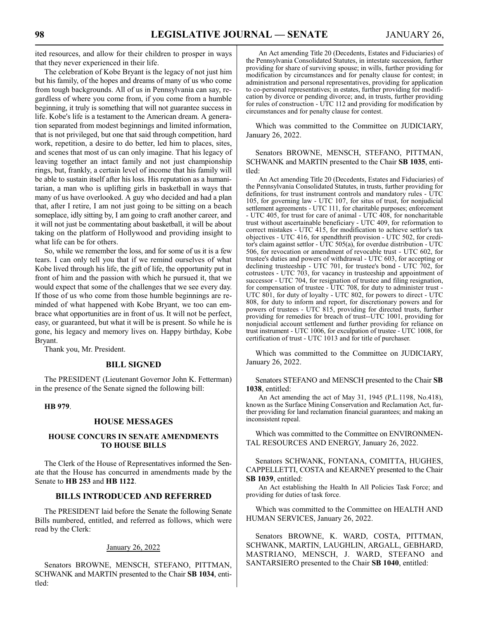ited resources, and allow for their children to prosper in ways that they never experienced in their life.

The celebration of Kobe Bryant is the legacy of not just him but his family, of the hopes and dreams of many of us who come from tough backgrounds. All of us in Pennsylvania can say, regardless of where you come from, if you come from a humble beginning, it truly is something that will not guarantee success in life. Kobe's life is a testament to the American dream. A generation separated from modest beginnings and limited information, that is not privileged, but one that said through competition, hard work, repetition, a desire to do better, led him to places, sites, and scenes that most of us can only imagine. That his legacy of leaving together an intact family and not just championship rings, but, frankly, a certain level of income that his family will be able to sustain itself after his loss. His reputation as a humanitarian, a man who is uplifting girls in basketball in ways that many of us have overlooked. A guy who decided and had a plan that, after I retire, I am not just going to be sitting on a beach someplace, idly sitting by, I am going to craft another career, and it will not just be commentating about basketball, it will be about taking on the platform of Hollywood and providing insight to what life can be for others.

So, while we remember the loss, and for some of us it is a few tears. I can only tell you that if we remind ourselves of what Kobe lived through his life, the gift of life, the opportunity put in front of him and the passion with which he pursued it, that we would expect that some of the challenges that we see every day. If those of us who come from those humble beginnings are reminded of what happened with Kobe Bryant, we too can embrace what opportunities are in front of us. It will not be perfect, easy, or guaranteed, but what it will be is present. So while he is gone, his legacy and memory lives on. Happy birthday, Kobe Bryant.

Thank you, Mr. President.

# **BILL SIGNED**

The PRESIDENT (Lieutenant Governor John K. Fetterman) in the presence of the Senate signed the following bill:

**HB 979**.

# **HOUSE MESSAGES**

# **HOUSE CONCURS IN SENATE AMENDMENTS TO HOUSE BILLS**

The Clerk of the House of Representatives informed the Senate that the House has concurred in amendments made by the Senate to **HB 253** and **HB 1122**.

# **BILLS INTRODUCED AND REFERRED**

The PRESIDENT laid before the Senate the following Senate Bills numbered, entitled, and referred as follows, which were read by the Clerk:

# January 26, 2022

Senators BROWNE, MENSCH, STEFANO, PITTMAN, SCHWANK and MARTIN presented to the Chair **SB 1034**, entitled:

An Act amending Title 20 (Decedents, Estates and Fiduciaries) of the Pennsylvania Consolidated Statutes, in intestate succession, further providing for share of surviving spouse; in wills, further providing for modification by circumstances and for penalty clause for contest; in administration and personal representatives, providing for application to co-personal representatives; in estates, further providing for modification by divorce or pending divorce; and, in trusts, further providing for rules of construction - UTC 112 and providing for modification by circumstances and for penalty clause for contest.

Which was committed to the Committee on JUDICIARY, January 26, 2022.

Senators BROWNE, MENSCH, STEFANO, PITTMAN, SCHWANK and MARTIN presented to the Chair **SB 1035**, entitled:

An Act amending Title 20 (Decedents, Estates and Fiduciaries) of the Pennsylvania Consolidated Statutes, in trusts, further providing for definitions, for trust instrument controls and mandatory rules - UTC 105, for governing law - UTC 107, for situs of trust, for nonjudicial settlement agreements - UTC 111, for charitable purposes; enforcement - UTC 405, for trust for care of animal - UTC 408, for noncharitable trust without ascertainable beneficiary - UTC 409, for reformation to correct mistakes - UTC 415, for modification to achieve settlor's tax objectives - UTC 416, for spendthrift provision - UTC 502, for creditor's claim against settlor - UTC 505(a), for overdue distribution - UTC 506, for revocation or amendment of revocable trust - UTC 602, for trustee's duties and powers of withdrawal - UTC 603, for accepting or declining trusteeship - UTC 701, for trustee's bond - UTC 702, for cotrustees - UTC 703, for vacancy in trusteeship and appointment of successor - UTC 704, for resignation of trustee and filing resignation, for compensation of trustee - UTC 708, for duty to administer trust - UTC 801, for duty of loyalty - UTC 802, for powers to direct - UTC 808, for duty to inform and report, for discretionary powers and for powers of trustees - UTC 815, providing for directed trusts, further providing for remedies for breach of trust--UTC 1001, providing for nonjudicial account settlement and further providing for reliance on trust instrument - UTC 1006, for exculpation of trustee - UTC 1008, for certification of trust - UTC 1013 and for title of purchaser.

Which was committed to the Committee on JUDICIARY, January 26, 2022.

Senators STEFANO and MENSCH presented to the Chair **SB 1038**, entitled:

An Act amending the act of May 31, 1945 (P.L.1198, No.418), known as the Surface Mining Conservation and Reclamation Act, further providing for land reclamation financial guarantees; and making an inconsistent repeal.

Which was committed to the Committee on ENVIRONMEN-TAL RESOURCES AND ENERGY, January 26, 2022.

Senators SCHWANK, FONTANA, COMITTA, HUGHES, CAPPELLETTI, COSTA and KEARNEY presented to the Chair **SB 1039**, entitled:

An Act establishing the Health In All Policies Task Force; and providing for duties of task force.

Which was committed to the Committee on HEALTH AND HUMAN SERVICES, January 26, 2022.

Senators BROWNE, K. WARD, COSTA, PITTMAN, SCHWANK, MARTIN, LAUGHLIN, ARGALL, GEBHARD, MASTRIANO, MENSCH, J. WARD, STEFANO and SANTARSIERO presented to the Chair **SB 1040**, entitled: